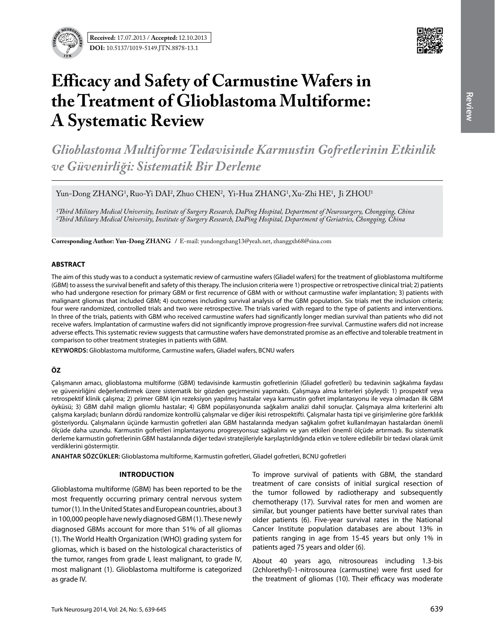

# **Efficacy and Safety of Carmustine Wafers in the Treatment of Glioblastoma Multiforme: A Systematic Review**

*Glioblastoma Multiforme Tedavisinde Karmustin Gofretlerinin Etkinlik ve Güvenirliği: Sistematik Bir Derleme*

Yun-Dong ZHANG<sup>1</sup>, Ruo-Yi DAI<sup>2</sup>, Zhuo CHEN<sup>2</sup>, Yi-Hua ZHANG<sup>1</sup>, Xu-Zhi HE<sup>1</sup>, Ji ZHOU<sup>1</sup>

*1Third Military Medical University, Institute of Surgery Research, DaPing Hospital, Department of Neurosurgery, Chongqing, China 2Third Military Medical University, Institute of Surgery Research, DaPing Hospital, Department of Geriatrics, Chongqing, China*

**Corresponding Author: Yun-Dong Zhang /** E-mail: yundongzhang13@yeah.net, zhanggxh68@sina.com

## **ABSTRACT**

The aim of this study was to a conduct a systematic review of carmustine wafers (Gliadel wafers) for the treatment of glioblastoma multiforme (GBM) to assess the survival benefit and safety of this therapy. The inclusion criteria were 1) prospective or retrospective clinical trial; 2) patients who had undergone resection for primary GBM or first recurrence of GBM with or without carmustine wafer implantation; 3) patients with malignant gliomas that included GBM; 4) outcomes including survival analysis of the GBM population. Six trials met the inclusion criteria; four were randomized, controlled trials and two were retrospective. The trials varied with regard to the type of patients and interventions. In three of the trials, patients with GBM who received carmustine wafers had significantly longer median survival than patients who did not receive wafers. Implantation of carmustine wafers did not significantly improve progression-free survival. Carmustine wafers did not increase adverse effects. This systematic review suggests that carmustine wafers have demonstrated promise as an effective and tolerable treatment in comparison to other treatment strategies in patients with GBM.

**Keywords:** Glioblastoma multiforme, Carmustine wafers, Gliadel wafers, BCNU wafers

## **ÖZ**

Çalışmanın amacı, glioblastoma multiforme (GBM) tedavisinde karmustin gofretlerinin (Gliadel gofretleri) bu tedavinin sağkalıma faydası ve güvenirliğini değerlendirmek üzere sistematik bir gözden geçirmesini yapmaktı. Çalışmaya alma kriterleri şöyleydi: 1) prospektif veya retrospektif klinik çalışma; 2) primer GBM için rezeksiyon yapılmış hastalar veya karmustin gofret implantasyonu ile veya olmadan ilk GBM öyküsü; 3) GBM dahil malign gliomlu hastalar; 4) GBM popülasyonunda sağkalım analizi dahil sonuçlar. Çalışmaya alma kriterlerini altı çalışma karşıladı; bunların dördü randomize kontrollü çalışmalar ve diğer ikisi retrospektifti. Çalışmalar hasta tipi ve girişimlerine göre farklılık gösteriyordu. Çalışmaların üçünde karmustin gofretleri alan GBM hastalarında medyan sağkalım gofret kullanılmayan hastalardan önemli ölçüde daha uzundu. Karmustin gofretleri implantasyonu progresyonsuz sağkalımı ve yan etkileri önemli ölçüde artırmadı. Bu sistematik derleme karmustin gofretlerinin GBM hastalarında diğer tedavi stratejileriyle karşılaştırıldığında etkin ve tolere edilebilir bir tedavi olarak ümit verdiklerini göstermiştir.

**ANAHTAR SÖZCÜKLER:** Glioblastoma multiforme, Karmustin gofretleri, Gliadel gofretleri, BCNU gofretleri

## **Introduction**

Glioblastoma multiforme (GBM) has been reported to be the most frequently occurring primary central nervous system tumor (1). In the United States and European countries, about 3 in 100,000 people have newly diagnosed GBM (1). These newly diagnosed GBMs account for more than 51% of all gliomas (1). The World Health Organization (WHO) grading system for gliomas, which is based on the histological characteristics of the tumor, ranges from grade I, least malignant, to grade IV, most malignant (1). Glioblastoma multiforme is categorized as grade IV.

To improve survival of patients with GBM, the standard treatment of care consists of initial surgical resection of the tumor followed by radiotherapy and subsequently chemotherapy (17). Survival rates for men and women are similar, but younger patients have better survival rates than older patients (6). Five-year survival rates in the National Cancer Institute population databases are about 13% in patients ranging in age from 15-45 years but only 1% in patients aged 75 years and older (6).

About 40 years ago, nitrosoureas including 1.3-bis (2chlorethyl)-1-nitrosourea (carmustine) were first used for the treatment of gliomas (10). Their efficacy was moderate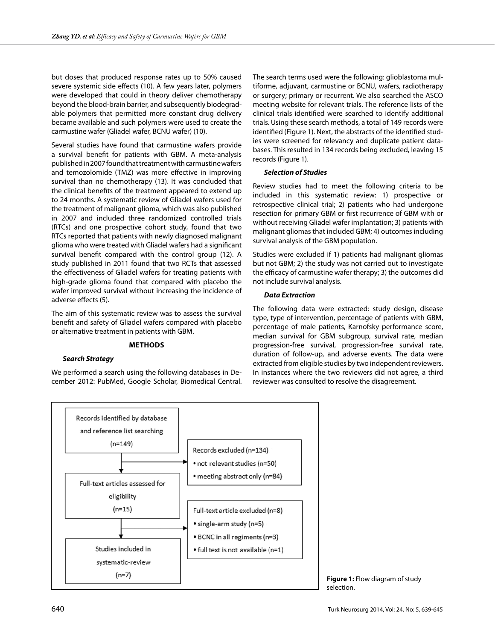but doses that produced response rates up to 50% caused severe systemic side effects (10). A few years later, polymers were developed that could in theory deliver chemotherapy beyond the blood-brain barrier, and subsequently biodegradable polymers that permitted more constant drug delivery became available and such polymers were used to create the carmustine wafer (Gliadel wafer, BCNU wafer) (10).

Several studies have found that carmustine wafers provide a survival benefit for patients with GBM. A meta-analysis published in 2007 found that treatment with carmustine wafers and temozolomide (TMZ) was more effective in improving survival than no chemotherapy (13). It was concluded that the clinical benefits of the treatment appeared to extend up to 24 months. A systematic review of Gliadel wafers used for the treatment of malignant glioma, which was also published in 2007 and included three randomized controlled trials (RTCs) and one prospective cohort study, found that two RTCs reported that patients with newly diagnosed malignant glioma who were treated with Gliadel wafers had a significant survival benefit compared with the control group (12). A study published in 2011 found that two RCTs that assessed the effectiveness of Gliadel wafers for treating patients with high-grade glioma found that compared with placebo the wafer improved survival without increasing the incidence of adverse effects (5).

The aim of this systematic review was to assess the survival benefit and safety of Gliadel wafers compared with placebo or alternative treatment in patients with GBM.

## **Methods**

## *Search Strategy*

We performed a search using the following databases in December 2012: PubMed, Google Scholar, Biomedical Central. The search terms used were the following: glioblastoma multiforme, adjuvant, carmustine or BCNU, wafers, radiotherapy or surgery; primary or recurrent. We also searched the ASCO meeting website for relevant trials. The reference lists of the clinical trials identified were searched to identify additional trials. Using these search methods, a total of 149 records were identified (Figure 1). Next, the abstracts of the identified studies were screened for relevancy and duplicate patient databases. This resulted in 134 records being excluded, leaving 15 records (Figure 1).

## *Selection of Studies*

Review studies had to meet the following criteria to be included in this systematic review: 1) prospective or retrospective clinical trial; 2) patients who had undergone resection for primary GBM or first recurrence of GBM with or without receiving Gliadel wafer implantation; 3) patients with malignant gliomas that included GBM; 4) outcomes including survival analysis of the GBM population.

Studies were excluded if 1) patients had malignant gliomas but not GBM; 2) the study was not carried out to investigate the efficacy of carmustine wafer therapy; 3) the outcomes did not include survival analysis.

## *Data Extraction*

The following data were extracted: study design, disease type, type of intervention, percentage of patients with GBM, percentage of male patients, Karnofsky performance score, median survival for GBM subgroup, survival rate, median progression-free survival, progression-free survival rate, duration of follow-up, and adverse events. The data were extracted from eligible studies by two independent reviewers. In instances where the two reviewers did not agree, a third reviewer was consulted to resolve the disagreement.



**Figure 1:** Flow diagram of study selection.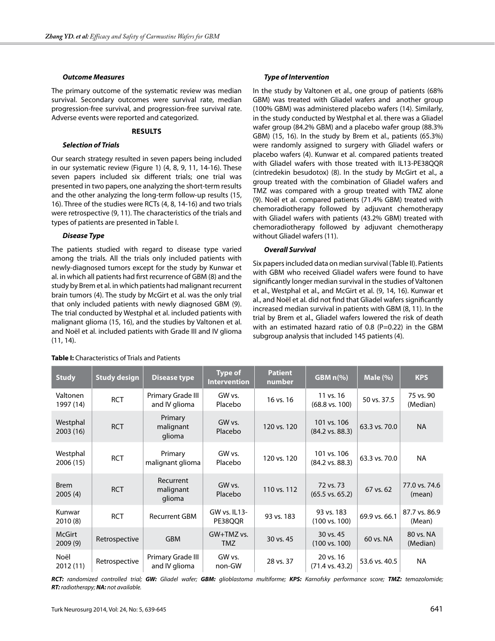## *Outcome Measures*

The primary outcome of the systematic review was median survival. Secondary outcomes were survival rate, median progression-free survival, and progression-free survival rate. Adverse events were reported and categorized.

## **Results**

## *Selection of Trials*

Our search strategy resulted in seven papers being included in our systematic review (Figure 1) (4, 8, 9, 11, 14-16). These seven papers included six different trials; one trial was presented in two papers, one analyzing the short-term results and the other analyzing the long-term follow-up results (15, 16). Three of the studies were RCTs (4, 8, 14-16) and two trials were retrospective (9, 11). The characteristics of the trials and types of patients are presented in Table I.

## *Disease Type*

The patients studied with regard to disease type varied among the trials. All the trials only included patients with newly-diagnosed tumors except for the study by Kunwar et al. in which all patients had first recurrence of GBM (8) and the study by Brem et al. in which patients had malignant recurrent brain tumors (4). The study by McGirt et al. was the only trial that only included patients with newly diagnosed GBM (9). The trial conducted by Westphal et al. included patients with malignant glioma (15, 16), and the studies by Valtonen et al. and Noël et al. included patients with Grade III and IV glioma (11, 14).

## *Type of Intervention*

In the study by Valtonen et al., one group of patients (68% GBM) was treated with Gliadel wafers and another group (100% GBM) was administered placebo wafers (14). Similarly, in the study conducted by Westphal et al. there was a Gliadel wafer group (84.2% GBM) and a placebo wafer group (88.3% GBM) (15, 16). In the study by Brem et al., patients (65.3%) were randomly assigned to surgery with Gliadel wafers or placebo wafers (4). Kunwar et al. compared patients treated with Gliadel wafers with those treated with IL13-PE38QQR (cintredekin besudotox) (8). In the study by McGirt et al., a group treated with the combination of Gliadel wafers and TMZ was compared with a group treated with TMZ alone (9). Noël et al. compared patients (71.4% GBM) treated with chemoradiotherapy followed by adjuvant chemotherapy with Gliadel wafers with patients (43.2% GBM) treated with chemoradiotherapy followed by adjuvant chemotherapy without Gliadel wafers (11).

## *Overall Survival*

Six papers included data on median survival (Table II). Patients with GBM who received Gliadel wafers were found to have significantly longer median survival in the studies of Valtonen et al., Westphal et al., and McGirt et al. (9, 14, 16). Kunwar et al., and Noël et al. did not find that Gliadel wafers significantly increased median survival in patients with GBM (8, 11). In the trial by Brem et al., Gliadel wafers lowered the risk of death with an estimated hazard ratio of 0.8 (P=0.22) in the GBM subgroup analysis that included 145 patients (4).

| <b>Study</b>             | <b>Study design</b> | <b>Disease type</b>                | <b>Type of</b><br><b>Intervention</b> | <b>Patient</b><br>number | <b>GBM n(%)</b>                           | Male $(\% )$  | <b>KPS</b>              |
|--------------------------|---------------------|------------------------------------|---------------------------------------|--------------------------|-------------------------------------------|---------------|-------------------------|
| Valtonen<br>1997 (14)    | <b>RCT</b>          | Primary Grade III<br>and IV glioma | GW vs.<br>Placebo                     | 16 vs. 16                | 11 vs. 16<br>$(68.8 \text{ vs. } 100)$    | 50 vs. 37.5   | 75 vs. 90<br>(Median)   |
| Westphal<br>2003 (16)    | <b>RCT</b>          | Primary<br>malignant<br>glioma     | GW vs.<br>Placebo                     | 120 vs. 120              | 101 vs. 106<br>$(84.2 \text{ vs. } 88.3)$ | 63.3 vs. 70.0 | <b>NA</b>               |
| Westphal<br>2006 (15)    | <b>RCT</b>          | Primary<br>malignant glioma        | GW vs.<br>Placebo                     | 120 vs. 120              | 101 vs. 106<br>$(84.2 \text{ vs. } 88.3)$ | 63.3 vs. 70.0 | <b>NA</b>               |
| <b>Brem</b><br>2005(4)   | <b>RCT</b>          | Recurrent<br>malignant<br>glioma   | GW vs.<br>Placebo                     | 110 vs. 112              | 72 vs. 73<br>$(65.5 \text{ vs. } 65.2)$   | 67 vs. 62     | 77.0 vs. 74.6<br>(mean) |
| Kunwar<br>2010(8)        | <b>RCT</b>          | <b>Recurrent GBM</b>               | GW vs. IL13-<br>PE38QQR               | 93 vs. 183               | 93 vs. 183<br>$(100 \text{ vs. } 100)$    | 69.9 vs. 66.1 | 87.7 vs. 86.9<br>(Mean) |
| <b>McGirt</b><br>2009(9) | Retrospective       | <b>GBM</b>                         | GW+TMZ vs.<br>TMZ.                    | 30 vs. 45                | 30 vs. 45<br>$(100 \text{ vs. } 100)$     | 60 vs. NA     | 80 vs. NA<br>(Median)   |
| Noël<br>2012 (11)        | Retrospective       | Primary Grade III<br>and IV glioma | GW vs.<br>non-GW                      | 28 vs. 37                | 20 vs. 16<br>$(71.4 \text{ vs. } 43.2)$   | 53.6 vs. 40.5 | <b>NA</b>               |

#### *RCT: randomized controlled trial; GW: Gliadel wafer; GBM: glioblastoma multiforme; KPS: Karnofsky performance score; TMZ: temozolomide; RT: radiotherapy; NA: not available.*

## **Table I:** Characteristics of Trials and Patients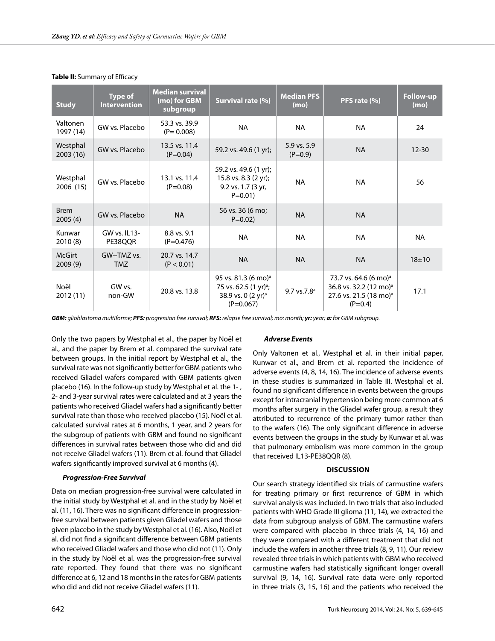| <b>Study</b>             | <b>Type of</b><br><b>Intervention</b> | <b>Median survival</b><br>(mo) for GBM<br>subgroup | Survival rate (%)                                                                                                    | <b>Median PFS</b><br>(mo) | PFS rate (%)                                                                                                               | <b>Follow-up</b><br>(mo) |
|--------------------------|---------------------------------------|----------------------------------------------------|----------------------------------------------------------------------------------------------------------------------|---------------------------|----------------------------------------------------------------------------------------------------------------------------|--------------------------|
| Valtonen<br>1997 (14)    | GW vs. Placebo                        | 53.3 vs. 39.9<br>$(P = 0.008)$                     | <b>NA</b>                                                                                                            | <b>NA</b>                 | <b>NA</b>                                                                                                                  | 24                       |
| Westphal<br>2003 (16)    | GW vs. Placebo                        | 13.5 vs. 11.4<br>$(P=0.04)$                        | 59.2 vs. 49.6 (1 yr);                                                                                                | 5.9 vs. 5.9<br>$(P=0.9)$  | <b>NA</b>                                                                                                                  | $12 - 30$                |
| Westphal<br>2006 (15)    | GW vs. Placebo                        | 13.1 vs. 11.4<br>$(P=0.08)$                        | 59.2 vs. 49.6 (1 yr);<br>15.8 vs. 8.3 (2 yr);<br>9.2 vs. 1.7 (3 yr,<br>$P = 0.01$                                    | <b>NA</b>                 | <b>NA</b>                                                                                                                  | 56                       |
| <b>Brem</b><br>2005(4)   | GW vs. Placebo                        | <b>NA</b>                                          | 56 vs. 36 (6 mo;<br>$P = 0.02$                                                                                       | <b>NA</b>                 | <b>NA</b>                                                                                                                  |                          |
| Kunwar<br>2010(8)        | GW vs. IL13-<br>PE38QQR               | 8.8 vs. 9.1<br>$(P=0.476)$                         | <b>NA</b>                                                                                                            | <b>NA</b>                 | <b>NA</b>                                                                                                                  | NA                       |
| <b>McGirt</b><br>2009(9) | $GW+TMZ$ vs.<br><b>TMZ</b>            | 20.7 vs. 14.7<br>(P < 0.01)                        | <b>NA</b>                                                                                                            | <b>NA</b>                 | <b>NA</b>                                                                                                                  | $18 + 10$                |
| Noël<br>2012 (11)        | GW vs.<br>non-GW                      | 20.8 vs. 13.8                                      | 95 vs. 81.3 (6 mo) <sup>a</sup><br>75 vs. 62.5 (1 yr) <sup>a</sup> ;<br>38.9 vs. 0 $(2 \text{ yr})^3$<br>$(P=0.067)$ | $9.7$ vs. $7.8^{\circ}$   | 73.7 vs. 64.6 (6 mo) <sup>a</sup><br>36.8 vs. 32.2 (12 mo) <sup>a</sup><br>27.6 vs. 21.5 (18 mo) <sup>a</sup><br>$(P=0.4)$ | 17.1                     |

## **Table II:** Summary of Efficacy

*GBM: glioblastoma multiforme; PFS: progression free survival; RFS: relapse free survival; mo: month; yr: year; a: for GBM subgroup.*

Only the two papers by Westphal et al., the paper by Noël et al., and the paper by Brem et al. compared the survival rate between groups. In the initial report by Westphal et al., the survival rate was not significantly better for GBM patients who received Gliadel wafers compared with GBM patients given placebo (16). In the follow-up study by Westphal et al. the 1- , 2- and 3-year survival rates were calculated and at 3 years the patients who received Gliadel wafers had a significantly better survival rate than those who received placebo (15). Noël et al. calculated survival rates at 6 months, 1 year, and 2 years for the subgroup of patients with GBM and found no significant differences in survival rates between those who did and did not receive Gliadel wafers (11). Brem et al. found that Gliadel wafers significantly improved survival at 6 months (4).

## *Progression-Free Survival*

Data on median progression-free survival were calculated in the initial study by Westphal et al. and in the study by Noël et al. (11, 16). There was no significant difference in progressionfree survival between patients given Gliadel wafers and those given placebo in the study by Westphal et al. (16). Also, Noël et al. did not find a significant difference between GBM patients who received Gliadel wafers and those who did not (11). Only in the study by Noël et al. was the progression-free survival rate reported. They found that there was no significant difference at 6, 12 and 18 months in the rates for GBM patients who did and did not receive Gliadel wafers (11).

## *Adverse Events*

Only Valtonen et al., Westphal et al. in their initial paper, Kunwar et al., and Brem et al. reported the incidence of adverse events (4, 8, 14, 16). The incidence of adverse events in these studies is summarized in Table III. Westphal et al. found no significant difference in events between the groups except for intracranial hypertension being more common at 6 months after surgery in the Gliadel wafer group, a result they attributed to recurrence of the primary tumor rather than to the wafers (16). The only significant difference in adverse events between the groups in the study by Kunwar et al. was that pulmonary embolism was more common in the group that received IL13-PE38QQR (8).

## **Discussion**

Our search strategy identified six trials of carmustine wafers for treating primary or first recurrence of GBM in which survival analysis was included. In two trials that also included patients with WHO Grade III glioma (11, 14), we extracted the data from subgroup analysis of GBM. The carmustine wafers were compared with placebo in three trials (4, 14, 16) and they were compared with a different treatment that did not include the wafers in another three trials (8, 9, 11). Our review revealed three trials in which patients with GBM who received carmustine wafers had statistically significant longer overall survival (9, 14, 16). Survival rate data were only reported in three trials (3, 15, 16) and the patients who received the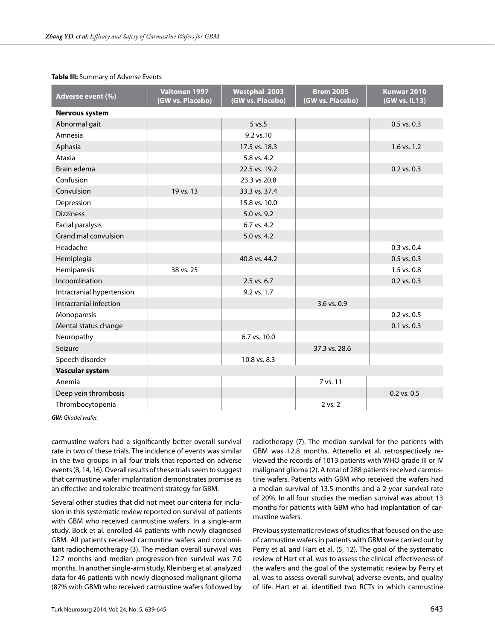| Adverse event (%)         | Valtonen 1997<br>(GW vs. Placebo) | <b>Westphal 2003</b><br>(GW vs. Placebo) | <b>Brem 2005</b><br>(GW vs. Placebo) | <b>Kunwar 2010</b><br>(GW vs. IL13) |  |  |  |  |
|---------------------------|-----------------------------------|------------------------------------------|--------------------------------------|-------------------------------------|--|--|--|--|
| <b>Nervous system</b>     |                                   |                                          |                                      |                                     |  |  |  |  |
| Abnormal gait             |                                   | $5 \text{ vs. } 5$                       |                                      | $0.5$ vs. $0.3$                     |  |  |  |  |
| Amnesia                   |                                   | 9.2 vs.10                                |                                      |                                     |  |  |  |  |
| Aphasia                   |                                   | 17.5 vs. 18.3                            |                                      | $1.6$ vs. $1.2$                     |  |  |  |  |
| Ataxia                    |                                   | 5.8 vs. 4.2                              |                                      |                                     |  |  |  |  |
| Brain edema               |                                   | 22.5 vs. 19.2                            |                                      | 0.2 vs. 0.3                         |  |  |  |  |
| Confusion                 |                                   | 23.3 vs 20.8                             |                                      |                                     |  |  |  |  |
| Convulsion                | 19 vs. 13                         | 33.3 vs. 37.4                            |                                      |                                     |  |  |  |  |
| Depression                |                                   | 15.8 vs. 10.0                            |                                      |                                     |  |  |  |  |
| <b>Dizziness</b>          |                                   | 5.0 vs. 9.2                              |                                      |                                     |  |  |  |  |
| Facial paralysis          |                                   | $6.7$ vs. 4.2                            |                                      |                                     |  |  |  |  |
| Grand mal convulsion      |                                   | 5.0 vs. 4.2                              |                                      |                                     |  |  |  |  |
| Headache                  |                                   |                                          |                                      | 0.3 vs. 0.4                         |  |  |  |  |
| Hemiplegia                |                                   | 40.8 vs. 44.2                            |                                      | $0.5$ vs. $0.3$                     |  |  |  |  |
| Hemiparesis               | 38 vs. 25                         |                                          |                                      | 1.5 vs. 0.8                         |  |  |  |  |
| Incoordination            |                                   | $2.5$ vs. $6.7$                          |                                      | $0.2$ vs. $0.3$                     |  |  |  |  |
| Intracranial hypertension |                                   | 9.2 vs. 1.7                              |                                      |                                     |  |  |  |  |
| Intracranial infection    |                                   |                                          | 3.6 vs. 0.9                          |                                     |  |  |  |  |
| Monoparesis               |                                   |                                          |                                      | 0.2 vs. 0.5                         |  |  |  |  |
| Mental status change      |                                   |                                          |                                      | 0.1 vs. 0.3                         |  |  |  |  |
| Neuropathy                |                                   | 6.7 vs. 10.0                             |                                      |                                     |  |  |  |  |
| Seizure                   |                                   |                                          | 37.3 vs. 28.6                        |                                     |  |  |  |  |
| Speech disorder           |                                   | 10.8 vs. 8.3                             |                                      |                                     |  |  |  |  |
| <b>Vascular system</b>    |                                   |                                          |                                      |                                     |  |  |  |  |
| Anemia                    |                                   |                                          | 7 vs. 11                             |                                     |  |  |  |  |
| Deep vein thrombosis      |                                   |                                          |                                      | $0.2$ vs. $0.5$                     |  |  |  |  |
| Thrombocytopenia          |                                   |                                          | 2 vs. 2                              |                                     |  |  |  |  |

## **Table III:** Summary of Adverse Events

*GW: Gliadel wafer.*

carmustine wafers had a significantly better overall survival rate in two of these trials. The incidence of events was similar in the two groups in all four trials that reported on adverse events (8, 14, 16). Overall results of these trials seem to suggest that carmustine wafer implantation demonstrates promise as an effective and tolerable treatment strategy for GBM.

Several other studies that did not meet our criteria for inclusion in this systematic review reported on survival of patients with GBM who received carmustine wafers. In a single-arm study, Bock et al. enrolled 44 patients with newly diagnosed GBM. All patients received carmustine wafers and concomitant radiochemotherapy (3). The median overall survival was 12.7 months and median progression-free survival was 7.0 months. In another single-arm study, Kleinberg et al. analyzed data for 46 patients with newly diagnosed malignant glioma (87% with GBM) who received carmustine wafers followed by radiotherapy (7). The median survival for the patients with GBM was 12.8 months. Attenello et al. retrospectively reviewed the records of 1013 patients with WHO grade III or IV malignant glioma (2). A total of 288 patients received carmustine wafers. Patients with GBM who received the wafers had a median survival of 13.5 months and a 2-year survival rate of 20%. In all four studies the median survival was about 13 months for patients with GBM who had implantation of carmustine wafers.

Previous systematic reviews of studies that focused on the use of carmustine wafers in patients with GBM were carried out by Perry et al. and Hart et al. (5, 12). The goal of the systematic review of Hart et al. was to assess the clinical effectiveness of the wafers and the goal of the systematic review by Perry et al. was to assess overall survival, adverse events, and quality of life. Hart et al. identified two RCTs in which carmustine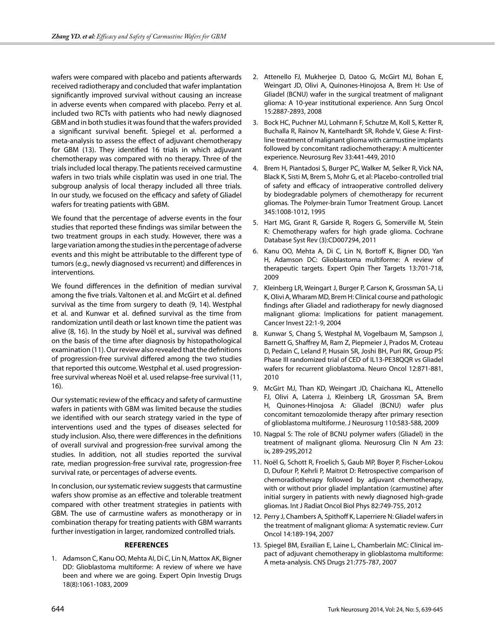wafers were compared with placebo and patients afterwards received radiotherapy and concluded that wafer implantation significantly improved survival without causing an increase in adverse events when compared with placebo. Perry et al. included two RCTs with patients who had newly diagnosed GBM and in both studies it was found that the wafers provided a significant survival benefit. Spiegel et al. performed a meta-analysis to assess the effect of adjuvant chemotherapy for GBM (13). They identified 16 trials in which adjuvant chemotherapy was compared with no therapy. Three of the trials included local therapy. The patients received carmustine wafers in two trials while cisplatin was used in one trial. The subgroup analysis of local therapy included all three trials. In our study, we focused on the efficacy and safety of Gliadel wafers for treating patients with GBM.

We found that the percentage of adverse events in the four studies that reported these findings was similar between the two treatment groups in each study. However, there was a large variation among the studies in the percentage of adverse events and this might be attributable to the different type of tumors (e.g., newly diagnosed vs recurrent) and differences in interventions.

We found differences in the definition of median survival among the five trials. Valtonen et al. and McGirt et al. defined survival as the time from surgery to death (9, 14). Westphal et al. and Kunwar et al. defined survival as the time from randomization until death or last known time the patient was alive (8, 16). In the study by Noël et al., survival was defined on the basis of the time after diagnosis by histopathological examination (11). Our review also revealed that the definitions of progression-free survival differed among the two studies that reported this outcome. Westphal et al. used progressionfree survival whereas Noël et al. used relapse-free survival (11, 16).

Our systematic review of the efficacy and safety of carmustine wafers in patients with GBM was limited because the studies we identified with our search strategy varied in the type of interventions used and the types of diseases selected for study inclusion. Also, there were differences in the definitions of overall survival and progression-free survival among the studies. In addition, not all studies reported the survival rate, median progression-free survival rate, progression-free survival rate, or percentages of adverse events.

In conclusion, our systematic review suggests that carmustine wafers show promise as an effective and tolerable treatment compared with other treatment strategies in patients with GBM. The use of carmustine wafers as monotherapy or in combination therapy for treating patients with GBM warrants further investigation in larger, randomized controlled trials.

## **References**

1. Adamson C, Kanu OO, Mehta AI, Di C, Lin N, Mattox AK, Bigner DD: Glioblastoma multiforme: A review of where we have been and where we are going. Expert Opin Investig Drugs 18(8):1061-1083, 2009

- 2. Attenello FJ, Mukherjee D, Datoo G, McGirt MJ, Bohan E, Weingart JD, Olivi A, Quinones-Hinojosa A, Brem H: Use of Gliadel (BCNU) wafer in the surgical treatment of malignant glioma: A 10-year institutional experience. Ann Surg Oncol 15:2887-2893, 2008
- 3. Bock HC, Puchner MJ, Lohmann F, Schutze M, Koll S, Ketter R, Buchalla R, Rainov N, Kantelhardt SR, Rohde V, Giese A: Firstline treatment of malignant glioma with carmustine implants followed by concomitant radiochemotherapy: A multicenter experience. Neurosurg Rev 33:441-449, 2010
- 4. Brem H, Piantadosi S, Burger PC, Walker M, Selker R, Vick NA, Black K, Sisti M, Brem S, Mohr G, et al: Placebo-controlled trial of safety and efficacy of intraoperative controlled delivery by biodegradable polymers of chemotherapy for recurrent gliomas. The Polymer-brain Tumor Treatment Group. Lancet 345:1008-1012, 1995
- 5. Hart MG, Grant R, Garside R, Rogers G, Somerville M, Stein K: Chemotherapy wafers for high grade glioma. Cochrane Database Syst Rev (3):CD007294, 2011
- 6. Kanu OO, Mehta A, Di C, Lin N, Bortoff K, Bigner DD, Yan H, Adamson DC: Glioblastoma multiforme: A review of therapeutic targets. Expert Opin Ther Targets 13:701-718, 2009
- 7. Kleinberg LR, Weingart J, Burger P, Carson K, Grossman SA, Li K, Olivi A, Wharam MD, Brem H: Clinical course and pathologic findings after Gliadel and radiotherapy for newly diagnosed malignant glioma: Implications for patient management. Cancer Invest 22:1-9, 2004
- 8. Kunwar S, Chang S, Westphal M, Vogelbaum M, Sampson J, Barnett G, Shaffrey M, Ram Z, Piepmeier J, Prados M, Croteau D, Pedain C, Leland P, Husain SR, Joshi BH, Puri RK, Group PS: Phase III randomized trial of CED of IL13-PE38QQR vs Gliadel wafers for recurrent glioblastoma. Neuro Oncol 12:871-881, 2010
- 9. McGirt MJ, Than KD, Weingart JD, Chaichana KL, Attenello FJ, Olivi A, Laterra J, Kleinberg LR, Grossman SA, Brem H, Quinones-Hinojosa A: Gliadel (BCNU) wafer plus concomitant temozolomide therapy after primary resection of glioblastoma multiforme. J Neurosurg 110:583-588, 2009
- 10. Nagpal S: The role of BCNU polymer wafers (Gliadel) in the treatment of malignant glioma. Neurosurg Clin N Am 23: ix, 289-295,2012
- 11. Noël G, Schott R, Froelich S, Gaub MP, Boyer P, Fischer-Lokou D, Dufour P, Kehrli P, Maitrot D: Retrospective comparison of chemoradiotherapy followed by adjuvant chemotherapy, with or without prior gliadel implantation (carmustine) after initial surgery in patients with newly diagnosed high-grade gliomas. Int J Radiat Oncol Biol Phys 82:749-755, 2012
- 12. Perry J, Chambers A, Spithoff K, Laperriere N: Gliadel wafers in the treatment of malignant glioma: A systematic review. Curr Oncol 14:189-194, 2007
- 13. Spiegel BM, Esrailian E, Laine L, Chamberlain MC: Clinical impact of adjuvant chemotherapy in glioblastoma multiforme: A meta-analysis. CNS Drugs 21:775-787, 2007